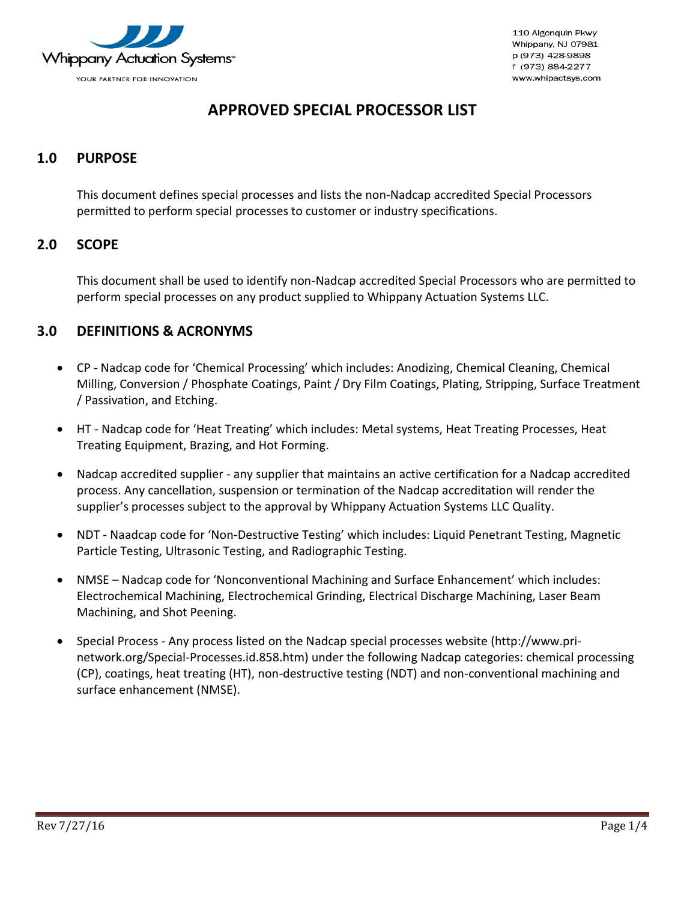

## **APPROVED SPECIAL PROCESSOR LIST**

## <span id="page-0-0"></span>**1.0 PURPOSE**

This document defines special processes and lists the non-Nadcap accredited Special Processors permitted to perform special processes to customer or industry specifications.

#### <span id="page-0-1"></span>**2.0 SCOPE**

This document shall be used to identify non-Nadcap accredited Special Processors who are permitted to perform special processes on any product supplied to Whippany Actuation Systems LLC.

### <span id="page-0-2"></span>**3.0 DEFINITIONS & ACRONYMS**

- CP Nadcap code for 'Chemical Processing' which includes: Anodizing, Chemical Cleaning, Chemical Milling, Conversion / Phosphate Coatings, Paint / Dry Film Coatings, Plating, Stripping, Surface Treatment / Passivation, and Etching.
- HT Nadcap code for 'Heat Treating' which includes: Metal systems, Heat Treating Processes, Heat Treating Equipment, Brazing, and Hot Forming.
- Nadcap accredited supplier any supplier that maintains an active certification for a Nadcap accredited process. Any cancellation, suspension or termination of the Nadcap accreditation will render the supplier's processes subject to the approval by Whippany Actuation Systems LLC Quality.
- NDT Naadcap code for 'Non-Destructive Testing' which includes: Liquid Penetrant Testing, Magnetic Particle Testing, Ultrasonic Testing, and Radiographic Testing.
- NMSE Nadcap code for 'Nonconventional Machining and Surface Enhancement' which includes: Electrochemical Machining, Electrochemical Grinding, Electrical Discharge Machining, Laser Beam Machining, and Shot Peening.
- Special Process Any process listed on the Nadcap special processes website (http://www.prinetwork.org/Special-Processes.id.858.htm) under the following Nadcap categories: chemical processing (CP), coatings, heat treating (HT), non-destructive testing (NDT) and non-conventional machining and surface enhancement (NMSE).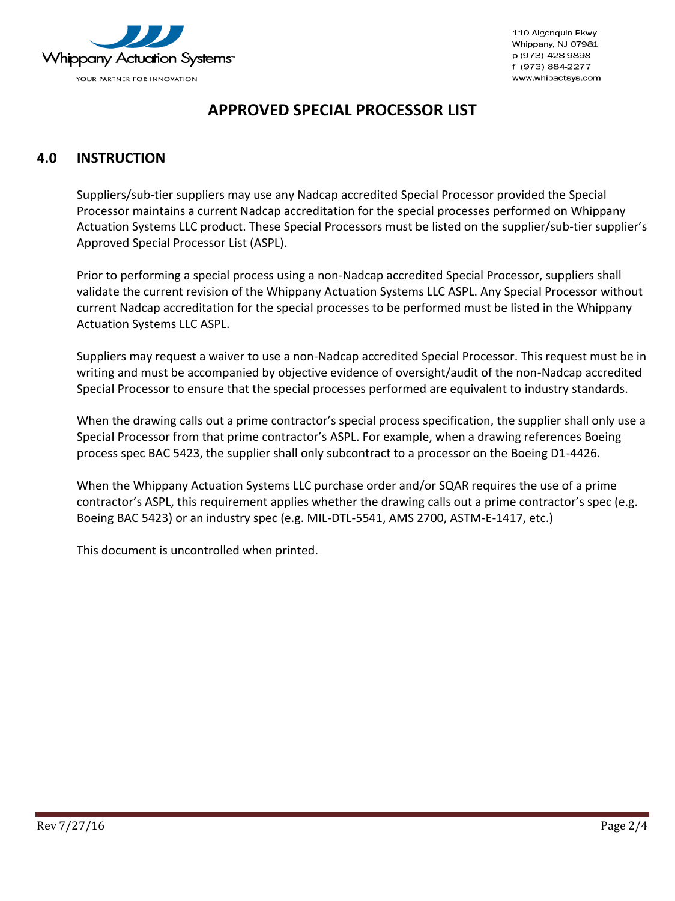

## **APPROVED SPECIAL PROCESSOR LIST**

## <span id="page-1-0"></span>**4.0 INSTRUCTION**

Suppliers/sub-tier suppliers may use any Nadcap accredited Special Processor provided the Special Processor maintains a current Nadcap accreditation for the special processes performed on Whippany Actuation Systems LLC product. These Special Processors must be listed on the supplier/sub-tier supplier's Approved Special Processor List (ASPL).

Prior to performing a special process using a non-Nadcap accredited Special Processor, suppliers shall validate the current revision of the Whippany Actuation Systems LLC ASPL. Any Special Processor without current Nadcap accreditation for the special processes to be performed must be listed in the Whippany Actuation Systems LLC ASPL.

Suppliers may request a waiver to use a non-Nadcap accredited Special Processor. This request must be in writing and must be accompanied by objective evidence of oversight/audit of the non-Nadcap accredited Special Processor to ensure that the special processes performed are equivalent to industry standards.

When the drawing calls out a prime contractor's special process specification, the supplier shall only use a Special Processor from that prime contractor's ASPL. For example, when a drawing references Boeing process spec BAC 5423, the supplier shall only subcontract to a processor on the Boeing D1-4426.

When the Whippany Actuation Systems LLC purchase order and/or SQAR requires the use of a prime contractor's ASPL, this requirement applies whether the drawing calls out a prime contractor's spec (e.g. Boeing BAC 5423) or an industry spec (e.g. MIL-DTL-5541, AMS 2700, ASTM-E-1417, etc.)

This document is uncontrolled when printed.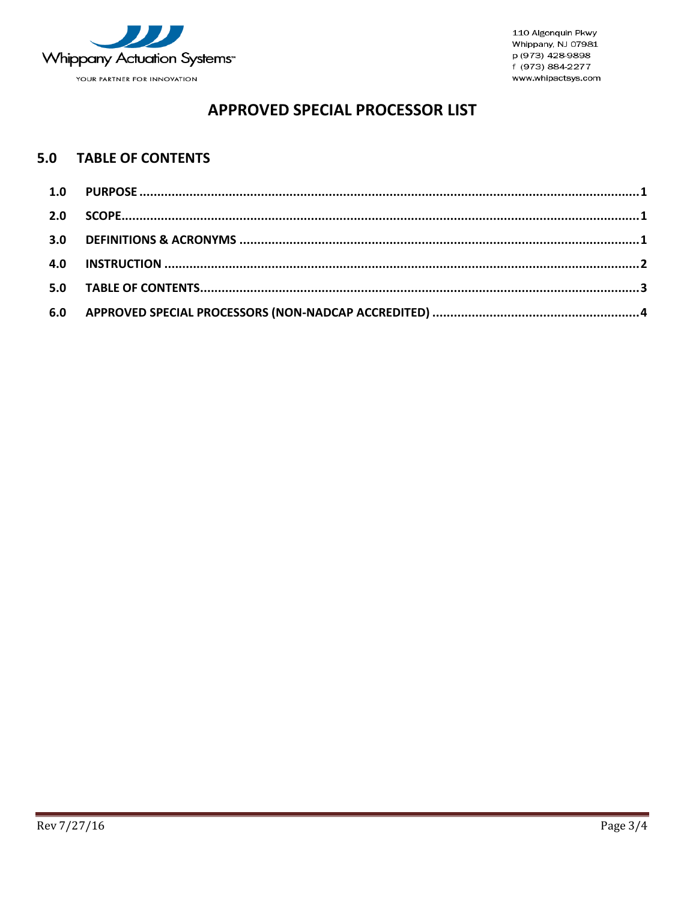

# **APPROVED SPECIAL PROCESSOR LIST**

#### <span id="page-2-0"></span>**TABLE OF CONTENTS**  $5.0$